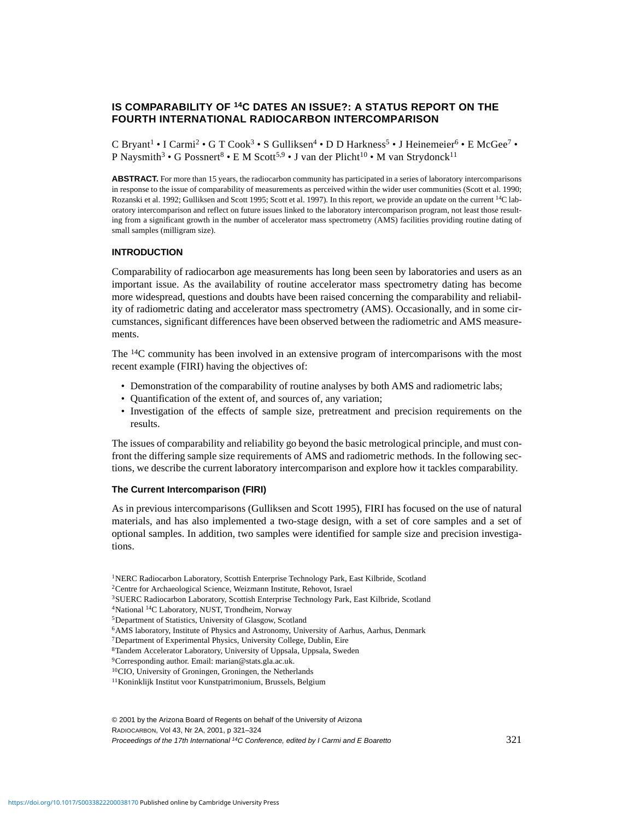# **IS COMPARABILITY OF 14C DATES AN ISSUE?: A STATUS REPORT ON THE FOURTH INTERNATIONAL RADIOCARBON INTERCOMPARISON**

C Bryant<sup>1</sup> • I Carmi<sup>2</sup> • G T Cook<sup>3</sup> • S Gulliksen<sup>4</sup> • D D Harkness<sup>5</sup> • J Heinemeier<sup>6</sup> • E McGee<sup>7</sup> • P Naysmith<sup>3</sup> • G Possnert<sup>8</sup> • E M Scott<sup>5,9</sup> • J van der Plicht<sup>10</sup> • M van Strydonck<sup>11</sup>

**ABSTRACT.** For more than 15 years, the radiocarbon community has participated in a series of laboratory intercomparisons in response to the issue of comparability of measurements as perceived within the wider user communities (Scott et al. 1990; Rozanski et al. 1992; Gulliksen and Scott 1995; Scott et al. 1997). In this report, we provide an update on the current 14C laboratory intercomparison and reflect on future issues linked to the laboratory intercomparison program, not least those resulting from a significant growth in the number of accelerator mass spectrometry (AMS) facilities providing routine dating of small samples (milligram size).

#### **INTRODUCTION**

Comparability of radiocarbon age measurements has long been seen by laboratories and users as an important issue. As the availability of routine accelerator mass spectrometry dating has become more widespread, questions and doubts have been raised concerning the comparability and reliability of radiometric dating and accelerator mass spectrometry (AMS). Occasionally, and in some circumstances, significant differences have been observed between the radiometric and AMS measurements.

The 14C community has been involved in an extensive program of intercomparisons with the most recent example (FIRI) having the objectives of:

- Demonstration of the comparability of routine analyses by both AMS and radiometric labs;
- Quantification of the extent of, and sources of, any variation;
- Investigation of the effects of sample size, pretreatment and precision requirements on the results.

The issues of comparability and reliability go beyond the basic metrological principle, and must confront the differing sample size requirements of AMS and radiometric methods. In the following sections, we describe the current laboratory intercomparison and explore how it tackles comparability.

# **The Current Intercomparison (FIRI)**

As in previous intercomparisons (Gulliksen and Scott 1995), FIRI has focused on the use of natural materials, and has also implemented a two-stage design, with a set of core samples and a set of optional samples. In addition, two samples were identified for sample size and precision investigations.

© 2001 by the Arizona Board of Regents on behalf of the University of Arizona RADIOCARBON, Vol 43, Nr 2A, 2001, p 321–324 Proceedings of the 17th International <sup>14</sup>C Conference, edited by I Carmi and E Boaretto 321

<sup>1</sup>NERC Radiocarbon Laboratory, Scottish Enterprise Technology Park, East Kilbride, Scotland

<sup>2</sup>Centre for Archaeological Science, Weizmann Institute, Rehovot, Israel

<sup>3</sup>SUERC Radiocarbon Laboratory, Scottish Enterprise Technology Park, East Kilbride, Scotland

<sup>4</sup>National 14C Laboratory, NUST, Trondheim, Norway

<sup>5</sup>Department of Statistics, University of Glasgow, Scotland

<sup>6</sup>AMS laboratory, Institute of Physics and Astronomy, University of Aarhus, Aarhus, Denmark

<sup>7</sup>Department of Experimental Physics, University College, Dublin, Eire

<sup>8</sup>Tandem Accelerator Laboratory, University of Uppsala, Uppsala, Sweden

<sup>9</sup>Corresponding author. Email: marian@stats.gla.ac.uk.

<sup>10</sup>CIO, University of Groningen, Groningen, the Netherlands

<sup>11</sup>Koninklijk Institut voor Kunstpatrimonium, Brussels, Belgium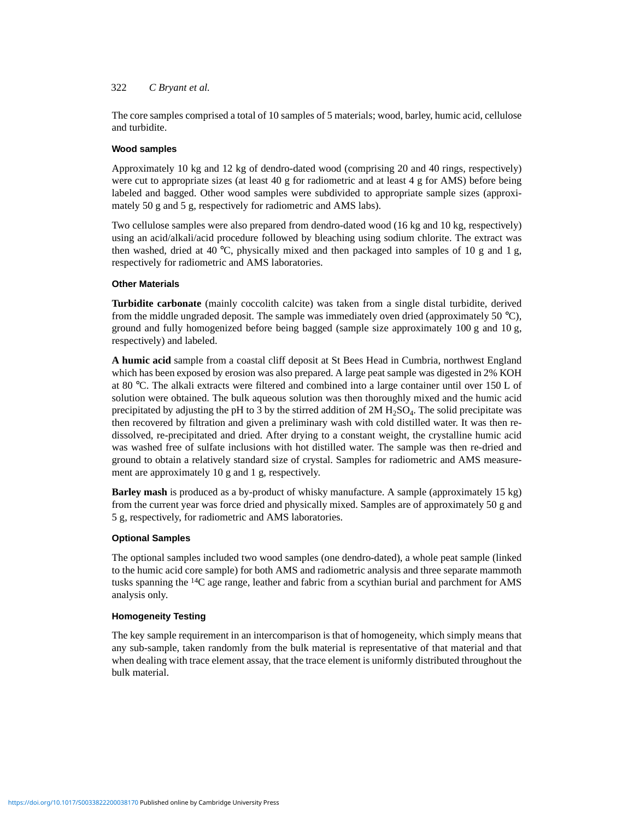## 322 *C Bryant et al.*

The core samples comprised a total of 10 samples of 5 materials; wood, barley, humic acid, cellulose and turbidite.

## **Wood samples**

Approximately 10 kg and 12 kg of dendro-dated wood (comprising 20 and 40 rings, respectively) were cut to appropriate sizes (at least 40 g for radiometric and at least 4 g for AMS) before being labeled and bagged. Other wood samples were subdivided to appropriate sample sizes (approximately 50 g and 5 g, respectively for radiometric and AMS labs).

Two cellulose samples were also prepared from dendro-dated wood (16 kg and 10 kg, respectively) using an acid/alkali/acid procedure followed by bleaching using sodium chlorite. The extract was then washed, dried at 40 °C, physically mixed and then packaged into samples of 10 g and 1 g, respectively for radiometric and AMS laboratories.

## **Other Materials**

**Turbidite carbonate** (mainly coccolith calcite) was taken from a single distal turbidite, derived from the middle ungraded deposit. The sample was immediately oven dried (approximately 50  $^{\circ}$ C), ground and fully homogenized before being bagged (sample size approximately 100 g and 10 g, respectively) and labeled.

**A humic acid** sample from a coastal cliff deposit at St Bees Head in Cumbria, northwest England which has been exposed by erosion was also prepared. A large peat sample was digested in 2% KOH at 80 °C. The alkali extracts were filtered and combined into a large container until over 150 L of solution were obtained. The bulk aqueous solution was then thoroughly mixed and the humic acid precipitated by adjusting the pH to 3 by the stirred addition of 2M H<sub>2</sub>SO<sub>4</sub>. The solid precipitate was then recovered by filtration and given a preliminary wash with cold distilled water. It was then redissolved, re-precipitated and dried. After drying to a constant weight, the crystalline humic acid was washed free of sulfate inclusions with hot distilled water. The sample was then re-dried and ground to obtain a relatively standard size of crystal. Samples for radiometric and AMS measurement are approximately 10 g and 1 g, respectively.

**Barley mash** is produced as a by-product of whisky manufacture. A sample (approximately 15 kg) from the current year was force dried and physically mixed. Samples are of approximately 50 g and 5 g, respectively, for radiometric and AMS laboratories.

## **Optional Samples**

The optional samples included two wood samples (one dendro-dated), a whole peat sample (linked to the humic acid core sample) for both AMS and radiometric analysis and three separate mammoth tusks spanning the <sup>14</sup>C age range, leather and fabric from a scythian burial and parchment for AMS analysis only.

## **Homogeneity Testing**

The key sample requirement in an intercomparison is that of homogeneity, which simply means that any sub-sample, taken randomly from the bulk material is representative of that material and that when dealing with trace element assay, that the trace element is uniformly distributed throughout the bulk material.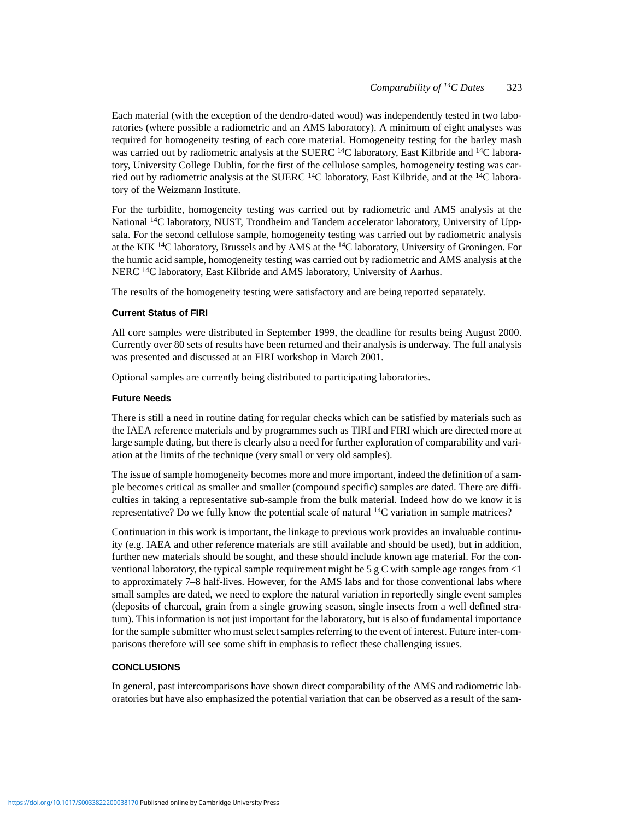Each material (with the exception of the dendro-dated wood) was independently tested in two laboratories (where possible a radiometric and an AMS laboratory). A minimum of eight analyses was required for homogeneity testing of each core material. Homogeneity testing for the barley mash was carried out by radiometric analysis at the SUERC <sup>14</sup>C laboratory, East Kilbride and <sup>14</sup>C laboratory, University College Dublin, for the first of the cellulose samples, homogeneity testing was carried out by radiometric analysis at the SUERC  $^{14}$ C laboratory, East Kilbride, and at the  $^{14}$ C laboratory of the Weizmann Institute.

For the turbidite, homogeneity testing was carried out by radiometric and AMS analysis at the National <sup>14</sup>C laboratory, NUST, Trondheim and Tandem accelerator laboratory, University of Uppsala. For the second cellulose sample, homogeneity testing was carried out by radiometric analysis at the KIK  $^{14}C$  laboratory, Brussels and by AMS at the  $^{14}C$  laboratory, University of Groningen. For the humic acid sample, homogeneity testing was carried out by radiometric and AMS analysis at the NERC <sup>14</sup>C laboratory, East Kilbride and AMS laboratory, University of Aarhus.

The results of the homogeneity testing were satisfactory and are being reported separately.

#### **Current Status of FIRI**

All core samples were distributed in September 1999, the deadline for results being August 2000. Currently over 80 sets of results have been returned and their analysis is underway. The full analysis was presented and discussed at an FIRI workshop in March 2001.

Optional samples are currently being distributed to participating laboratories.

#### **Future Needs**

There is still a need in routine dating for regular checks which can be satisfied by materials such as the IAEA reference materials and by programmes such as TIRI and FIRI which are directed more at large sample dating, but there is clearly also a need for further exploration of comparability and variation at the limits of the technique (very small or very old samples).

The issue of sample homogeneity becomes more and more important, indeed the definition of a sample becomes critical as smaller and smaller (compound specific) samples are dated. There are difficulties in taking a representative sub-sample from the bulk material. Indeed how do we know it is representative? Do we fully know the potential scale of natural 14C variation in sample matrices?

Continuation in this work is important, the linkage to previous work provides an invaluable continuity (e.g. IAEA and other reference materials are still available and should be used), but in addition, further new materials should be sought, and these should include known age material. For the conventional laboratory, the typical sample requirement might be 5 g C with sample age ranges from  $\langle 1 \rangle$ to approximately 7–8 half-lives. However, for the AMS labs and for those conventional labs where small samples are dated, we need to explore the natural variation in reportedly single event samples (deposits of charcoal, grain from a single growing season, single insects from a well defined stratum). This information is not just important for the laboratory, but is also of fundamental importance for the sample submitter who must select samples referring to the event of interest. Future inter-comparisons therefore will see some shift in emphasis to reflect these challenging issues.

## **CONCLUSIONS**

In general, past intercomparisons have shown direct comparability of the AMS and radiometric laboratories but have also emphasized the potential variation that can be observed as a result of the sam-